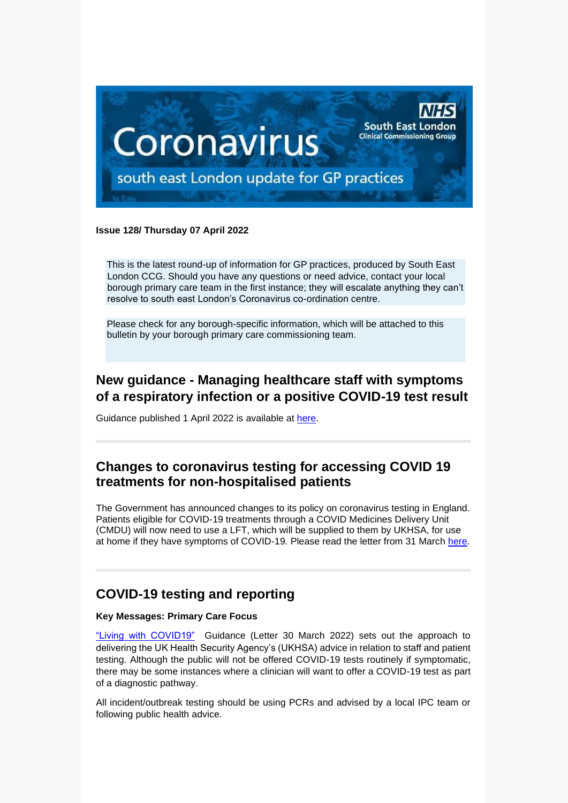

#### **Issue 128/ Thursday 07 April 2022**

This is the latest round-up of information for GP practices, produced by South East London CCG. Should you have any questions or need advice, contact your local borough primary care team in the first instance; they will escalate anything they can't resolve to south east London's Coronavirus co-ordination centre.

Please check for any borough-specific information, which will be attached to this bulletin by your borough primary care commissioning team.

## **New guidance - Managing healthcare staff with symptoms of a respiratory infection or a positive COVID-19 test result**

Guidance published 1 April 2022 is available at [here.](https://www.gov.uk/government/publications/covid-19-managing-healthcare-staff-with-symptoms-of-a-respiratory-infection/managing-healthcare-staff-with-symptoms-of-a-respiratory-infection-or-a-positive-covid-19-test-result)

#### **Changes to coronavirus testing for accessing COVID 19 treatments for non-hospitalised patients**

The Government has announced changes to its policy on coronavirus testing in England. Patients eligible for COVID-19 treatments through a COVID Medicines Delivery Unit (CMDU) will now need to use a LFT, which will be supplied to them by UKHSA, for use at home if they have symptoms of COVID-19. Please read the letter from 31 March [here.](https://selondonccg.nhs.uk/wp-content/uploads/2022/04/C1614-Changes-to-coronavirus-testing-for-accessing-COVID-19-treatments-for-non-hospitalised-patients-310322.pdf)

### **COVID-19 testing and reporting**

#### **Key Messages: Primary Care Focus**

["Living with COVID19"](https://selondonccg.nhs.uk/wp-content/uploads/2022/03/C1621_Living-with-COVID-19-testing-update-letter_300322.pdf) Guidance (Letter 30 March 2022) sets out the approach to delivering the UK Health Security Agency's (UKHSA) advice in relation to staff and patient testing. Although the public will not be offered COVID-19 tests routinely if symptomatic, there may be some instances where a clinician will want to offer a COVID-19 test as part of a diagnostic pathway.

All incident/outbreak testing should be using PCRs and advised by a local IPC team or following public health advice.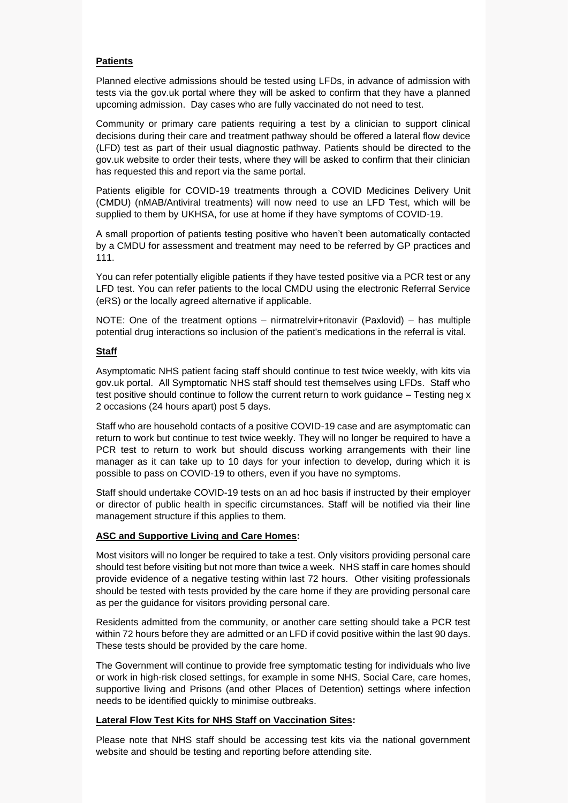#### **Patients**

Planned elective admissions should be tested using LFDs, in advance of admission with tests via the gov.uk portal where they will be asked to confirm that they have a planned upcoming admission. Day cases who are fully vaccinated do not need to test.

Community or primary care patients requiring a test by a clinician to support clinical decisions during their care and treatment pathway should be offered a lateral flow device (LFD) test as part of their usual diagnostic pathway. Patients should be directed to the gov.uk website to order their tests, where they will be asked to confirm that their clinician has requested this and report via the same portal.

Patients eligible for COVID-19 treatments through a COVID Medicines Delivery Unit (CMDU) (nMAB/Antiviral treatments) will now need to use an LFD Test, which will be supplied to them by UKHSA, for use at home if they have symptoms of COVID-19.

A small proportion of patients testing positive who haven't been automatically contacted by a CMDU for assessment and treatment may need to be referred by GP practices and 111.

You can refer potentially eligible patients if they have tested positive via a PCR test or any LFD test. You can refer patients to the local CMDU using the electronic Referral Service (eRS) or the locally agreed alternative if applicable.

NOTE: One of the treatment options – nirmatrelvir+ritonavir (Paxlovid) – has multiple potential drug interactions so inclusion of the patient's medications in the referral is vital.

#### **Staff**

Asymptomatic NHS patient facing staff should continue to test twice weekly, with kits via gov.uk portal. All Symptomatic NHS staff should test themselves using LFDs. Staff who test positive should continue to follow the current return to work guidance – Testing neg x 2 occasions (24 hours apart) post 5 days.

Staff who are household contacts of a positive COVID-19 case and are asymptomatic can return to work but continue to test twice weekly. They will no longer be required to have a PCR test to return to work but should discuss working arrangements with their line manager as it can take up to 10 days for your infection to develop, during which it is possible to pass on COVID-19 to others, even if you have no symptoms.

Staff should undertake COVID-19 tests on an ad hoc basis if instructed by their employer or director of public health in specific circumstances. Staff will be notified via their line management structure if this applies to them.

#### **ASC and Supportive Living and Care Homes:**

Most visitors will no longer be required to take a test. Only visitors providing personal care should test before visiting but not more than twice a week. NHS staff in care homes should provide evidence of a negative testing within last 72 hours. Other visiting professionals should be tested with tests provided by the care home if they are providing personal care as per the guidance for visitors providing personal care.

Residents admitted from the community, or another care setting should take a PCR test within 72 hours before they are admitted or an LFD if covid positive within the last 90 days. These tests should be provided by the care home.

The Government will continue to provide free symptomatic testing for individuals who live or work in high-risk closed settings, for example in some NHS, Social Care, care homes, supportive living and Prisons (and other Places of Detention) settings where infection needs to be identified quickly to minimise outbreaks.

#### **Lateral Flow Test Kits for NHS Staff on Vaccination Sites:**

Please note that NHS staff should be accessing test kits via the national government website and should be testing and reporting before attending site.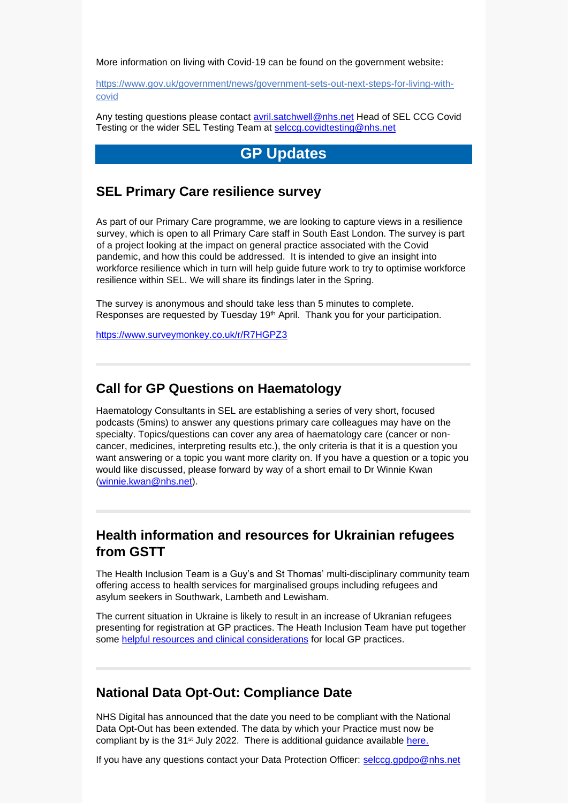More information on living with Covid-19 can be found on the government website:

[https://www.gov.uk/government/news/government-sets-out-next-steps-for-living-with](https://www.gov.uk/government/news/government-sets-out-next-steps-for-living-with-covid)[covid](https://www.gov.uk/government/news/government-sets-out-next-steps-for-living-with-covid) 

Any testing questions please contact [avril.satchwell@nhs.net](mailto:avril.satchwell@nhs.net) Head of SEL CCG Covid Testing or the wider SEL Testing Team at [selccg.covidtesting@nhs.net](mailto:selccg.covidtesting@nhs.net)

# **GP Updates**

#### **SEL Primary Care resilience survey**

As part of our Primary Care programme, we are looking to capture views in a resilience survey, which is open to all Primary Care staff in South East London. The survey is part of a project looking at the impact on general practice associated with the Covid pandemic, and how this could be addressed. It is intended to give an insight into workforce resilience which in turn will help guide future work to try to optimise workforce resilience within SEL. We will share its findings later in the Spring.

The survey is anonymous and should take less than 5 minutes to complete. Responses are requested by Tuesday 19<sup>th</sup> April. Thank you for your participation.

<https://www.surveymonkey.co.uk/r/R7HGPZ3>

#### **Call for GP Questions on Haematology**

Haematology Consultants in SEL are establishing a series of very short, focused podcasts (5mins) to answer any questions primary care colleagues may have on the specialty. Topics/questions can cover any area of haematology care (cancer or noncancer, medicines, interpreting results etc.), the only criteria is that it is a question you want answering or a topic you want more clarity on. If you have a question or a topic you would like discussed, please forward by way of a short email to Dr Winnie Kwan [\(winnie.kwan@nhs.net\)](mailto:winnie.kwan@nhs.net).

### **Health information and resources for Ukrainian refugees from GSTT**

The Health Inclusion Team is a Guy's and St Thomas' multi-disciplinary community team offering access to health services for marginalised groups including refugees and asylum seekers in Southwark, Lambeth and Lewisham.

The current situation in Ukraine is likely to result in an increase of Ukranian refugees presenting for registration at GP practices. The Heath Inclusion Team have put together some [helpful resources and clinical](https://selondonccg.nhs.uk/wp-content/uploads/2022/04/Health-Information-and-resources-for-Ukranian-refugees.pdf) considerations for local GP practices.

#### **National Data Opt-Out: Compliance Date**

NHS Digital has announced that the date you need to be compliant with the National Data Opt-Out has been extended. The data by which your Practice must now be compliant by is the 31<sup>st</sup> July 2022. There is additional guidance available [here.](https://digital.nhs.uk/services/national-data-opt-out/information-for-gp-practices)

If you have any questions contact your Data Protection Officer: [selccg.gpdpo@nhs.net](mailto:selccg.gpdpo@nhs.net)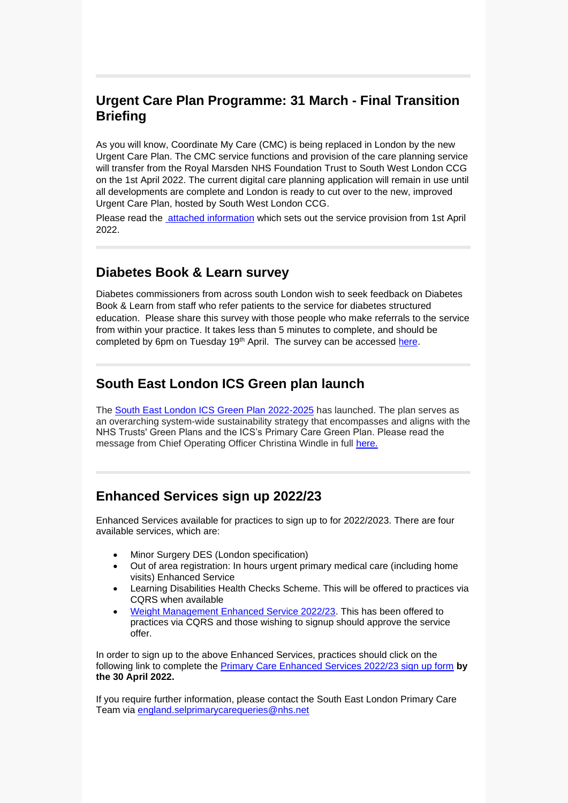## **Urgent Care Plan Programme: 31 March - Final Transition Briefing**

As you will know, Coordinate My Care (CMC) is being replaced in London by the new Urgent Care Plan. The CMC service functions and provision of the care planning service will transfer from the Royal Marsden NHS Foundation Trust to South West London CCG on the 1st April 2022. The current digital care planning application will remain in use until all developments are complete and London is ready to cut over to the new, improved Urgent Care Plan, hosted by South West London CCG.

Please read the [attached information](https://selondonccg.nhs.uk/wp-content/uploads/2022/04/Urgent-Care-Plan-Programme-31-March-Final-Transition-Briefing.pdf) which sets out the service provision from 1st April 2022.

## **Diabetes Book & Learn survey**

Diabetes commissioners from across south London wish to seek feedback on Diabetes Book & Learn from staff who refer patients to the service for diabetes structured education. Please share this survey with those people who make referrals to the service from within your practice. It takes less than 5 minutes to complete, and should be completed by 6pm on Tuesday 19th April. The survey can be accessed [here.](https://www.surveymonkey.co.uk/r/LJXKC3D)

# **South East London ICS Green plan launch**

The [South East London ICS Green Plan 2022-2025](https://www.ourhealthiersel.nhs.uk/about/our-sustainability-committment.htm) has launched. The plan serves as an overarching system-wide sustainability strategy that encompasses and aligns with the NHS Trusts' Green Plans and the ICS's Primary Care Green Plan. Please read the message from Chief Operating Officer Christina Windle in full [here.](https://selondonccg.nhs.uk/wp-content/uploads/2022/04/SEL-Green-Plan-COO-message.pdf)

## **Enhanced Services sign up 2022/23**

Enhanced Services available for practices to sign up to for 2022/2023. There are four available services, which are:

- Minor Surgery DES (London specification)
- Out of area registration: In hours urgent primary medical care (including home visits) Enhanced Service
- Learning Disabilities Health Checks Scheme. This will be offered to practices via CQRS when available
- [Weight Management Enhanced Service 2022/23.](https://www.england.nhs.uk/publication/enhanced-service-specification-weight-management-programme-2022-23/) This has been offered to practices via CQRS and those wishing to signup should approve the service offer.

In order to sign up to the above Enhanced Services, practices should click on the following link to complete the [Primary Care Enhanced Services 2022/23 sign up form](https://forms.office.com/r/9KLQ4cnQgm) **by the 30 April 2022.**

If you require further information, please contact the South East London Primary Care Team via [england.selprimarycarequeries@nhs.net](mailto:england.selprimarycarequeries@nhs.net)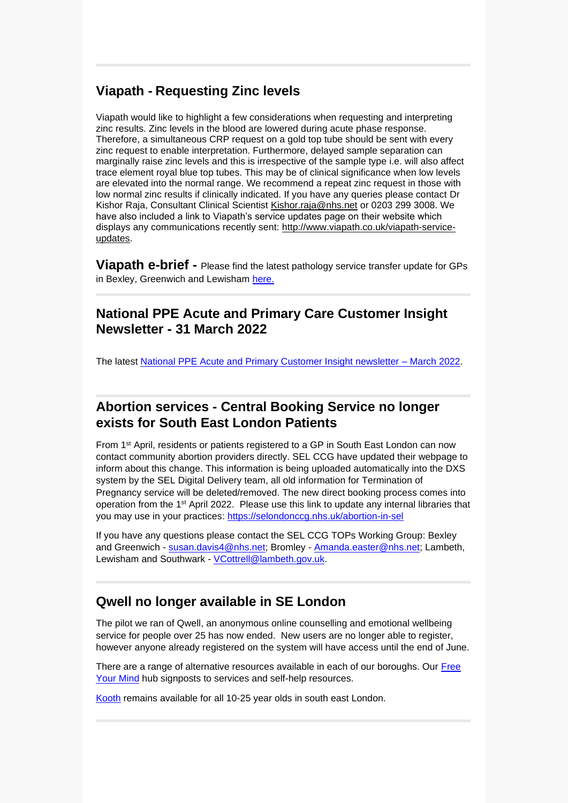## **Viapath - Requesting Zinc levels**

Viapath would like to highlight a few considerations when requesting and interpreting zinc results. Zinc levels in the blood are lowered during acute phase response. Therefore, a simultaneous CRP request on a gold top tube should be sent with every zinc request to enable interpretation. Furthermore, delayed sample separation can marginally raise zinc levels and this is irrespective of the sample type i.e. will also affect trace element royal blue top tubes. This may be of clinical significance when low levels are elevated into the normal range. We recommend a repeat zinc request in those with low normal zinc results if clinically indicated. If you have any queries please contact Dr Kishor Raja, Consultant Clinical Scientist [Kishor.raja@nhs.net](mailto:Kishor.raja@nhs.net) or 0203 299 3008. We have also included a link to Viapath's service updates page on their website which displays any communications recently sent: [http://www.viapath.co.uk/viapath-service](http://www.viapath.co.uk/viapath-service-updates)[updates.](http://www.viapath.co.uk/viapath-service-updates)

**Viapath e-brief -** Please find the latest pathology service transfer update for GPs in Bexley, Greenwich and Lewisham [here.](https://selondonccg.nhs.uk/wp-content/uploads/2022/04/Ebrief-5-April.docx)

### **National PPE Acute and Primary Care Customer Insight Newsletter - 31 March 2022**

The latest [National PPE Acute and Primary Customer Insight newsletter –](https://sway.office.com/DEHtRnNixAdI7Z1a?ref=Link) March 2022.

### **Abortion services - Central Booking Service no longer exists for South East London Patients**

From 1st April, residents or patients registered to a GP in South East London can now contact community abortion providers directly. SEL CCG have updated their webpage to inform about this change. This information is being uploaded automatically into the DXS system by the SEL Digital Delivery team, all old information for Termination of Pregnancy service will be deleted/removed. The new direct booking process comes into operation from the 1st April 2022. Please use this link to update any internal libraries that you may use in your practices: [https://selondonccg.nhs.uk/abortion-in-sel](https://eur03.safelinks.protection.outlook.com/?url=https%3A%2F%2Fselondonccg.nhs.uk%2Fabortion-in-sel&data=04%7C01%7CVCottrell%40lambeth.gov.uk%7Ca72990a4b3a84d22585a08da10d991ec%7Cc4f22780485f4507af4a60a971d6f7fe%7C0%7C0%7C637840823909400260%7CUnknown%7CTWFpbGZsb3d8eyJWIjoiMC4wLjAwMDAiLCJQIjoiV2luMzIiLCJBTiI6Ik1haWwiLCJXVCI6Mn0%3D%7C3000&sdata=AfI5oyl36IHrir0YxOxrDbur1v9MBQhcU%2BtENUtqZPc%3D&reserved=0)

If you have any questions please contact the SEL CCG TOPs Working Group: Bexley and Greenwich - [susan.davis4@nhs.net;](mailto:susan.davis4@nhs.net) Bromley - [Amanda.easter@nhs.net;](mailto:Amanda.easter@nhs.net) Lambeth, Lewisham and Southwark - [VCottrell@lambeth.gov.uk.](mailto:VCottrell@lambeth.gov.uk)

## **Qwell no longer available in SE London**

The pilot we ran of Qwell, an anonymous online counselling and emotional wellbeing service for people over 25 has now ended. New users are no longer able to register, however anyone already registered on the system will have access until the end of June.

There are a range of alternative resources available in each of our boroughs. Our [Free](https://nhsfreeyourmind.co.uk/)  [Your Mind](https://nhsfreeyourmind.co.uk/) hub signposts to services and self-help resources.

[Kooth](https://www.kooth.com/) remains available for all 10-25 year olds in south east London.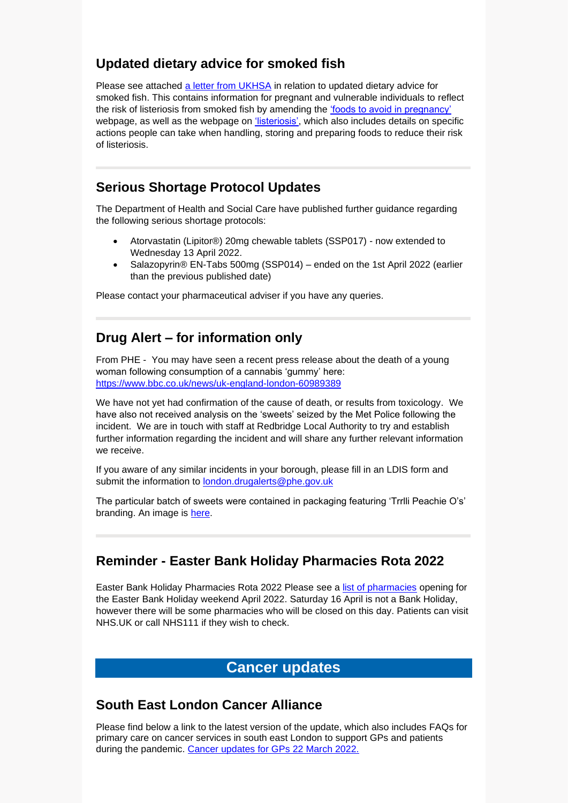## **Updated dietary advice for smoked fish**

Please see attached [a letter from UKHSA](https://selondonccg.nhs.uk/wp-content/uploads/2022/04/2022-04-04-Letter-to-the-NHS-v2.0_FINAL.pdf) in relation to updated dietary advice for smoked fish. This contains information for pregnant and vulnerable individuals to reflect the risk of listeriosis from smoked fish by amending the ['foods to avoid in pregnancy'](https://www.nhs.uk/pregnancy/keeping-well/foods-to-avoid/) webpage, as well as the webpage on ['listeriosis',](https://www.nhs.uk/conditions/Listeriosis/) which also includes details on specific actions people can take when handling, storing and preparing foods to reduce their risk of listeriosis.

## **Serious Shortage Protocol Updates**

The Department of Health and Social Care have published further guidance regarding the following serious shortage protocols:

- Atorvastatin (Lipitor®) 20mg chewable tablets (SSP017) now extended to Wednesday 13 April 2022.
- Salazopyrin® EN-Tabs 500mg (SSP014) ended on the 1st April 2022 (earlier than the previous published date)

Please contact your pharmaceutical adviser if you have any queries.

## **Drug Alert – for information only**

From PHE - You may have seen a recent press release about the death of a young woman following consumption of a cannabis 'gummy' here: [https://www.bbc.co.uk/news/uk-england-london-60989389](https://urldefense.com/v3/__https:/eur03.safelinks.protection.outlook.com/?url=https*3A*2F*2Fwww.bbc.co.uk*2Fnews*2Fuk-england-london-60989389&data=04*7C01*7CEmma.Burke*40dhsc.gov.uk*7C3bee0d8b136a4388cf1908da1710cb0e*7C61278c3091a84c318c1fef4de8973a1c*7C1*7C0*7C637847658126397954*7CUnknown*7CTWFpbGZsb3d8eyJWIjoiMC4wLjAwMDAiLCJQIjoiV2luMzIiLCJBTiI6Ik1haWwiLCJXVCI6Mn0*3D*7C3000&sdata=1cdq*2BEmKNBW2gdMA48OEzXPEb5UTGk7dywvtMbSKh5U*3D&reserved=0__;JSUlJSUlJSUlJSUlJSUlJSUlJQ!!CVb4j_0G!XQm7UjZE4D9dg3EVW5S-46tLgJei8CcLnyJ5Phfj0S3Me80HVNMbl6cQl0I1JoFA6VbvNcV1-Ia_surs-rE4gMdVx1PQASf1fweo5uirvc_f9A$)

We have not yet had confirmation of the cause of death, or results from toxicology. We have also not received analysis on the 'sweets' seized by the Met Police following the incident. We are in touch with staff at Redbridge Local Authority to try and establish further information regarding the incident and will share any further relevant information we receive.

If you aware of any similar incidents in your borough, please fill in an LDIS form and submit the information to [london.drugalerts@phe.gov.uk](mailto:london.drugalerts@phe.gov.uk)

The particular batch of sweets were contained in packaging featuring 'Trrlli Peachie O's' branding. An image is [here.](https://selondonccg.nhs.uk/wp-content/uploads/2022/04/drug-packaging.docx)

### **Reminder - Easter Bank Holiday Pharmacies Rota 2022**

Easter Bank Holiday Pharmacies Rota 2022 Please see a [list of pharmacies](https://selondonccg.nhs.uk/news/london-pharmacy-opening-hours-for-easter-2022/) opening for the Easter Bank Holiday weekend April 2022. Saturday 16 April is not a Bank Holiday, however there will be some pharmacies who will be closed on this day. Patients can visit NHS.UK or call NHS111 if they wish to check.

## **Cancer updates**

### **South East London Cancer Alliance**

Please find below a link to the latest version of the update, which also includes FAQs for primary care on cancer services in south east London to support GPs and patients during the pandemic. [Cancer updates for GPs 22](https://selondonccg.nhs.uk/wp-content/uploads/2022/03/SEL-Cancer-Updates-FAQs-for-Primary-Care-23-Mar-2022.pdf) March 2022.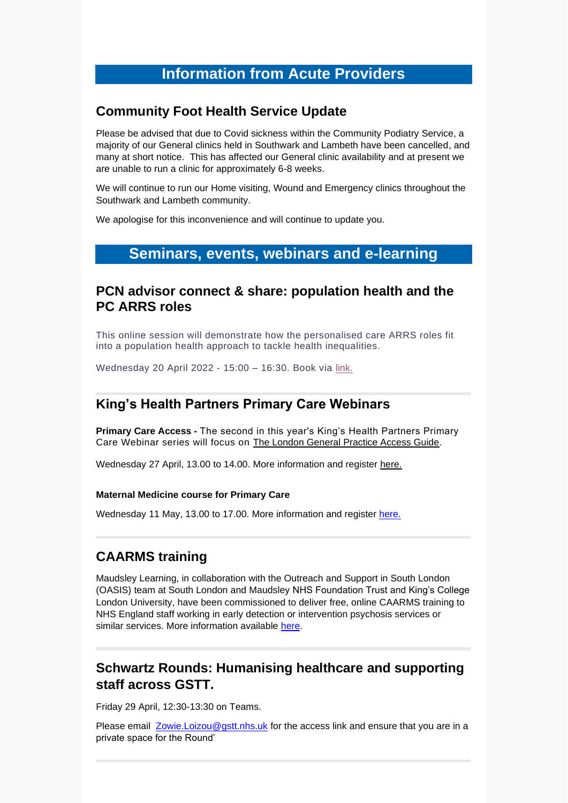# **Information from Acute Providers**

#### **Community Foot Health Service Update**

Please be advised that due to Covid sickness within the Community Podiatry Service, a majority of our General clinics held in Southwark and Lambeth have been cancelled, and many at short notice. This has affected our General clinic availability and at present we are unable to run a clinic for approximately 6-8 weeks.

We will continue to run our Home visiting, Wound and Emergency clinics throughout the Southwark and Lambeth community.

We apologise for this inconvenience and will continue to update you.

## **Seminars, events, webinars and e-learning**

#### **PCN advisor connect & share: population health and the PC ARRS roles**

This online session will demonstrate how the personalised care ARRS roles fit into a population health approach to tackle health inequalities.

Wednesday 20 April 2022 - 15:00 – 16:30. Book via [link.](https://www.eventbrite.co.uk/e/pcn-advisor-connect-share-population-health-the-pc-arrs-roles-tickets-302860342437) 

### **King's Health Partners Primary Care Webinars**

**Primary Care Access -** The second in this year's King's Health Partners Primary Care Webinar series will focus on [The London General Practice Access Guide.](https://eur03.safelinks.protection.outlook.com/?url=https%3A%2F%2Fwww.healthylondon.org%2Four-work%2Fprimary-care%2Fgp-access%2F&data=04%7C01%7Csara.suliman%40kcl.ac.uk%7C0bc50d2b99064a3c239008da027664ff%7C8370cf1416f34c16b83c724071654356%7C0%7C0%7C637825004782329584%7CUnknown%7CTWFpbGZsb3d8eyJWIjoiMC4wLjAwMDAiLCJQIjoiV2luMzIiLCJBTiI6Ik1haWwiLCJXVCI6Mn0%3D%7C3000&sdata=GiQUCL%2BZwuVLK5tO40NCvrEukj8FtGZYVXlh87B96Kw%3D&reserved=0)

Wednesday 27 April, 13.00 to 14.00. More information and register [here.](https://www.eventbrite.co.uk/e/kings-health-partners-primary-care-webinar-series-2022-tickets-295251554347)

#### **Maternal Medicine course for Primary Care**

Wednesday 11 May, 13.00 to 17.00. More information and register [here.](https://www.eventbrite.co.uk/e/maternal-medicine-course-for-primary-care-tickets-274753153077)

## **CAARMS training**

Maudsley Learning, in collaboration with the Outreach and Support in South London (OASIS) team at South London and Maudsley NHS Foundation Trust and King's College London University, have been commissioned to deliver free, online CAARMS training to NHS England staff working in early detection or intervention psychosis services or similar services. More information available [here.](https://selondonccg.nhs.uk/wp-content/uploads/2022/04/CAARMS-Leaflet-v1.2.pdf)

## **Schwartz Rounds: Humanising healthcare and supporting staff across GSTT.**

Friday 29 April, 12:30-13:30 on Teams.

Please email [Zowie.Loizou@gstt.nhs.uk](mailto:Zowie.Loizou@gstt.nhs.uk) for the access link and ensure that you are in a private space for the Round'